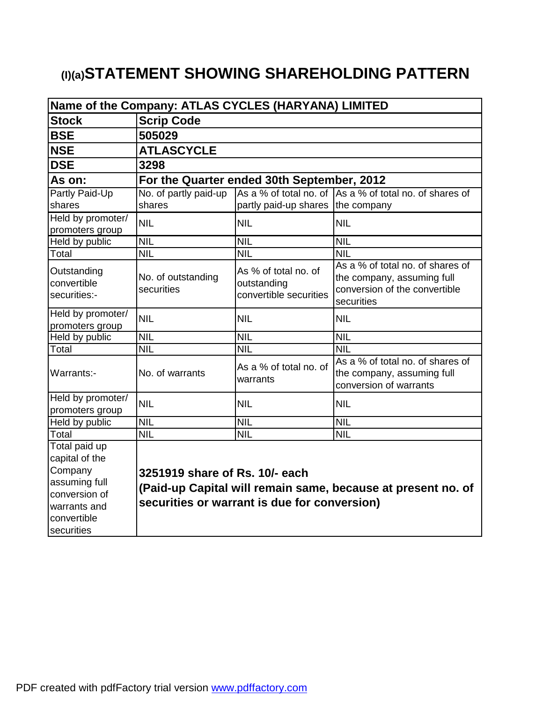# **(I)(a)STATEMENT SHOWING SHAREHOLDING PATTERN**

| Name of the Company: ATLAS CYCLES (HARYANA) LIMITED |                                                              |                                                               |                                                                                                               |  |  |  |  |  |
|-----------------------------------------------------|--------------------------------------------------------------|---------------------------------------------------------------|---------------------------------------------------------------------------------------------------------------|--|--|--|--|--|
| <b>Stock</b>                                        | <b>Scrip Code</b>                                            |                                                               |                                                                                                               |  |  |  |  |  |
| <b>BSE</b>                                          | 505029                                                       |                                                               |                                                                                                               |  |  |  |  |  |
| <b>NSE</b>                                          | <b>ATLASCYCLE</b>                                            |                                                               |                                                                                                               |  |  |  |  |  |
| <b>DSE</b>                                          | 3298                                                         |                                                               |                                                                                                               |  |  |  |  |  |
| As on:                                              |                                                              | For the Quarter ended 30th September, 2012                    |                                                                                                               |  |  |  |  |  |
| Partly Paid-Up                                      | No. of partly paid-up                                        |                                                               | As a % of total no, of As a % of total no, of shares of                                                       |  |  |  |  |  |
| shares                                              | shares                                                       | partly paid-up shares the company                             |                                                                                                               |  |  |  |  |  |
| Held by promoter/<br>promoters group                | <b>NIL</b>                                                   | <b>NIL</b>                                                    | <b>NIL</b>                                                                                                    |  |  |  |  |  |
| Held by public                                      | <b>NIL</b>                                                   | <b>NIL</b>                                                    | <b>NIL</b>                                                                                                    |  |  |  |  |  |
| Total                                               | <b>NIL</b>                                                   | <b>NIL</b>                                                    | <b>NIL</b>                                                                                                    |  |  |  |  |  |
| Outstanding<br>convertible<br>securities:-          | No. of outstanding<br>securities                             | As % of total no. of<br>outstanding<br>convertible securities | As a % of total no. of shares of<br>the company, assuming full<br>conversion of the convertible<br>securities |  |  |  |  |  |
| Held by promoter/<br>promoters group                | <b>NIL</b>                                                   | <b>NIL</b>                                                    | <b>NIL</b>                                                                                                    |  |  |  |  |  |
| Held by public                                      | <b>NIL</b>                                                   | <b>NIL</b>                                                    | <b>NIL</b>                                                                                                    |  |  |  |  |  |
| Total                                               | <b>NIL</b>                                                   | <b>NIL</b>                                                    | <b>NIL</b>                                                                                                    |  |  |  |  |  |
| Warrants:-                                          | No. of warrants                                              | As a % of total no. of<br>warrants                            | As a % of total no, of shares of<br>the company, assuming full<br>conversion of warrants                      |  |  |  |  |  |
| Held by promoter/                                   | <b>NIL</b>                                                   | <b>NIL</b>                                                    | <b>NIL</b>                                                                                                    |  |  |  |  |  |
| promoters group                                     |                                                              |                                                               |                                                                                                               |  |  |  |  |  |
| Held by public                                      | <b>NIL</b>                                                   | <b>NIL</b>                                                    | <b>NIL</b>                                                                                                    |  |  |  |  |  |
| Total                                               | <b>NIL</b>                                                   | <b>NIL</b>                                                    | <b>NIL</b>                                                                                                    |  |  |  |  |  |
| Total paid up                                       |                                                              |                                                               |                                                                                                               |  |  |  |  |  |
| capital of the                                      |                                                              |                                                               |                                                                                                               |  |  |  |  |  |
| Company                                             | 3251919 share of Rs. 10/- each                               |                                                               |                                                                                                               |  |  |  |  |  |
| assuming full                                       | (Paid-up Capital will remain same, because at present no. of |                                                               |                                                                                                               |  |  |  |  |  |
| conversion of                                       | securities or warrant is due for conversion)                 |                                                               |                                                                                                               |  |  |  |  |  |
| warrants and                                        |                                                              |                                                               |                                                                                                               |  |  |  |  |  |
| convertible                                         |                                                              |                                                               |                                                                                                               |  |  |  |  |  |
| securities                                          |                                                              |                                                               |                                                                                                               |  |  |  |  |  |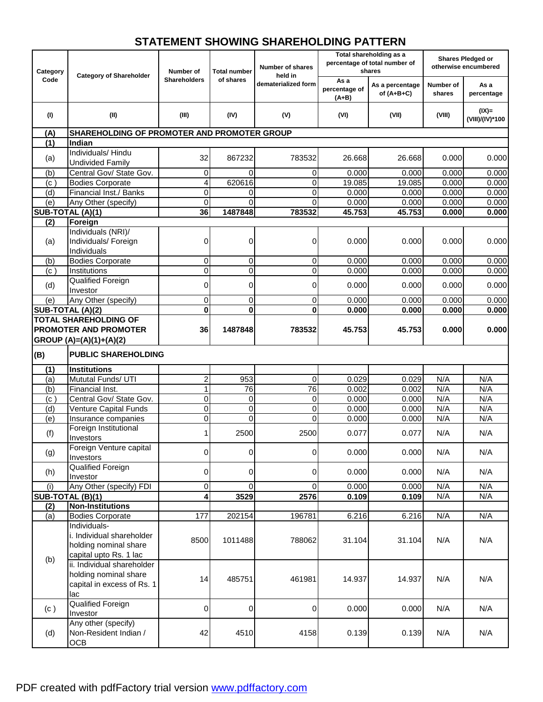## **STATEMENT SHOWING SHAREHOLDING PATTERN**

|                  |                                             |                                  |                     |                     | Total shareholding as a          |                                 | <b>Shares Pledged or</b> |                             |  |
|------------------|---------------------------------------------|----------------------------------|---------------------|---------------------|----------------------------------|---------------------------------|--------------------------|-----------------------------|--|
|                  |                                             |                                  |                     | Number of shares    |                                  | percentage of total number of   |                          | otherwise encumbered        |  |
| Category<br>Code | <b>Category of Shareholder</b>              | Number of<br><b>Shareholders</b> | <b>Total number</b> | held in             |                                  | shares                          |                          |                             |  |
|                  |                                             |                                  | of shares           | dematerialized form | As a<br>percentage of<br>$(A+B)$ | As a percentage<br>of $(A+B+C)$ | Number of<br>shares      | As a<br>percentage          |  |
| (1)              | (II)                                        | (III)                            | (IV)                | (V)                 | (VI)                             | (VII)                           | (VIII)                   | $(IX)$ =<br>(VIII)/(IV)*100 |  |
| (A)              | SHAREHOLDING OF PROMOTER AND PROMOTER GROUP |                                  |                     |                     |                                  |                                 |                          |                             |  |
| (1)              | Indian                                      |                                  |                     |                     |                                  |                                 |                          |                             |  |
|                  | Individuals/Hindu                           |                                  |                     |                     |                                  |                                 |                          |                             |  |
| (a)              | <b>Undivided Family</b>                     | 32                               | 867232              | 783532              | 26.668                           | 26.668                          | 0.000                    | 0.000                       |  |
| (b)              | Central Gov/ State Gov.                     | 0                                | $\Omega$            | 0                   | 0.000                            | 0.000                           | 0.000                    | 0.000                       |  |
| (c)              | <b>Bodies Corporate</b>                     | 4                                | 620616              | 0                   | 19.085                           | 19.085                          | 0.000                    | 0.000                       |  |
| (d)              | Financial Inst./ Banks                      | 0                                | 0                   | 0                   | 0.000                            | 0.000                           | 0.000                    | 0.000                       |  |
| (e)              | Any Other (specify)                         | $\Omega$                         | $\Omega$            | $\Omega$            | 0.000                            | 0.000                           | 0.000                    | 0.000                       |  |
|                  | SUB-TOTAL (A)(1)                            | 36                               | 1487848             | 783532              | 45.753                           | 45.753                          | 0.000                    | 0.000                       |  |
| (2)              | Foreign                                     |                                  |                     |                     |                                  |                                 |                          |                             |  |
|                  | Individuals (NRI)/                          |                                  |                     |                     |                                  |                                 |                          |                             |  |
|                  | Individuals/ Foreign                        | 0                                | 0                   | 0                   | 0.000                            | 0.000                           | 0.000                    | 0.000                       |  |
| (a)              | Individuals                                 |                                  |                     |                     |                                  |                                 |                          |                             |  |
|                  | <b>Bodies Corporate</b>                     | 0                                | 0                   | 0                   |                                  |                                 |                          | 0.000                       |  |
| (b)              |                                             | 0                                |                     |                     | 0.000                            | 0.000                           | 0.000                    | 0.000                       |  |
| (c)              | Institutions                                |                                  | 0                   | 0                   | 0.000                            | 0.000                           | 0.000                    |                             |  |
| (d)              | Qualified Foreign                           | 0                                | 0                   | 0                   | 0.000                            | 0.000                           | 0.000                    | 0.000                       |  |
|                  | Investor                                    |                                  |                     |                     |                                  |                                 |                          |                             |  |
| (e)              | Any Other (specify)                         | 0                                | 0                   | 0                   | 0.000                            | 0.000                           | 0.000                    | 0.000                       |  |
|                  | SUB-TOTAL (A)(2)                            | 0                                | $\mathbf 0$         | $\bf{0}$            | 0.000                            | 0.000                           | 0.000                    | 0.000                       |  |
|                  | <b>TOTAL SHAREHOLDING OF</b>                |                                  |                     |                     |                                  |                                 |                          |                             |  |
|                  | <b>PROMOTER AND PROMOTER</b>                | 36                               | 1487848             | 783532              | 45.753                           | 45.753                          | 0.000                    | 0.000                       |  |
|                  | GROUP (A)=(A)(1)+(A)(2)                     |                                  |                     |                     |                                  |                                 |                          |                             |  |
| (B)              | <b>PUBLIC SHAREHOLDING</b>                  |                                  |                     |                     |                                  |                                 |                          |                             |  |
| (1)              | <b>Institutions</b>                         |                                  |                     |                     |                                  |                                 |                          |                             |  |
| (a)              | Mututal Funds/ UTI                          | 2                                | 953                 | 0                   | 0.029                            | 0.029                           | N/A                      | N/A                         |  |
| (b)              | Financial Inst.                             | 1                                | 76                  | $\overline{76}$     | 0.002                            | 0.002                           | N/A                      | N/A                         |  |
| (c)              | Central Gov/ State Gov.                     | 0                                | 0                   | 0                   | 0.000                            | 0.000                           | N/A                      | N/A                         |  |
| (d)              | Venture Capital Funds                       | 0                                | 0                   | 0                   | 0.000                            | 0.000                           | N/A                      | N/A                         |  |
| (e)              | Insurance companies                         | 0                                | $\mathbf 0$         | $\mathbf 0$         | 0.000                            | 0.000                           | N/A                      | N/A                         |  |
| (f)              | Foreign Institutional                       | 1                                | 2500                | 2500                | 0.077                            | 0.077                           | N/A                      | N/A                         |  |
|                  | Investors                                   |                                  |                     |                     |                                  |                                 |                          |                             |  |
|                  | Foreign Venture capital                     | $\overline{0}$                   | $\overline{0}$      | $\overline{0}$      | 0.000                            | 0.000                           | N/A                      | N/A                         |  |
| (g)              | Investors                                   |                                  |                     |                     |                                  |                                 |                          |                             |  |
|                  | Qualified Foreign                           | 0                                | 0                   |                     | 0.000                            | 0.000                           | N/A                      | N/A                         |  |
| (h)              | Investor                                    |                                  |                     | 0                   |                                  |                                 |                          |                             |  |
| (i)              | Any Other (specify) FDI                     | 0                                | $\mathbf 0$         | $\overline{0}$      | 0.000                            | 0.000                           | N/A                      | N/A                         |  |
|                  | SUB-TOTAL (B)(1)                            | 4                                | 3529                | 2576                | 0.109                            | 0.109                           | N/A                      | N/A                         |  |
| (2)              | <b>Non-Institutions</b>                     |                                  |                     |                     |                                  |                                 |                          |                             |  |
| (a)              | <b>Bodies Corporate</b>                     | 177                              | 202154              | 196781              | 6.216                            | 6.216                           | N/A                      | N/A                         |  |
|                  | Individuals-                                |                                  |                     |                     |                                  |                                 |                          |                             |  |
|                  | i. Individual shareholder                   |                                  |                     |                     |                                  |                                 |                          |                             |  |
|                  | holding nominal share                       | 8500                             | 1011488             | 788062              | 31.104                           | 31.104                          | N/A                      | N/A                         |  |
|                  | capital upto Rs. 1 lac                      |                                  |                     |                     |                                  |                                 |                          |                             |  |
| (b)              | ii. Individual shareholder                  |                                  |                     |                     |                                  |                                 |                          |                             |  |
|                  | holding nominal share                       |                                  |                     |                     |                                  |                                 |                          |                             |  |
|                  | capital in excess of Rs. 1                  | 14                               | 485751              | 461981              | 14.937                           | 14.937                          | N/A                      | N/A                         |  |
|                  | lac                                         |                                  |                     |                     |                                  |                                 |                          |                             |  |
|                  | Qualified Foreign                           |                                  |                     |                     |                                  |                                 |                          |                             |  |
| (c)              | Investor                                    | 0                                | 0                   | 0                   | 0.000                            | 0.000                           | N/A                      | N/A                         |  |
|                  | Any other (specify)                         |                                  |                     |                     |                                  |                                 |                          |                             |  |
| (d)              | Non-Resident Indian /                       | 42                               | 4510                | 4158                | 0.139                            | 0.139                           | N/A                      | N/A                         |  |
|                  | OCB                                         |                                  |                     |                     |                                  |                                 |                          |                             |  |
|                  |                                             |                                  |                     |                     |                                  |                                 |                          |                             |  |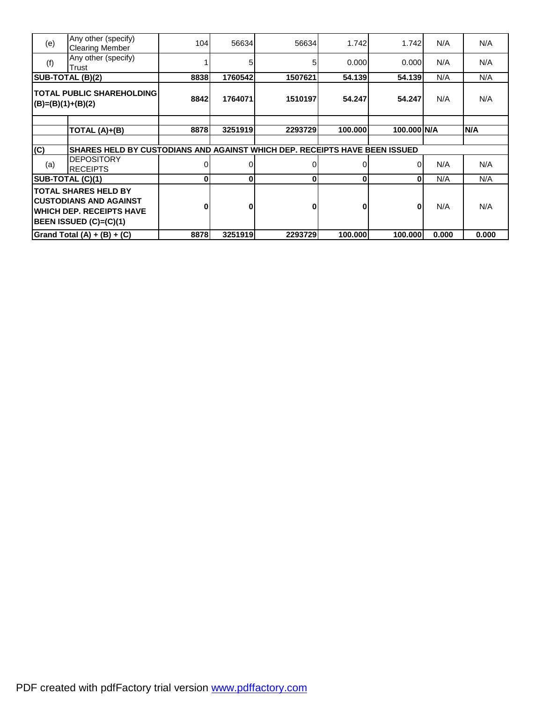| (e)                 | Any other (specify)<br><b>Clearing Member</b>                                                                               | 104  | 56634   | 56634        | 1.742   | 1.742       | N/A   | N/A   |
|---------------------|-----------------------------------------------------------------------------------------------------------------------------|------|---------|--------------|---------|-------------|-------|-------|
| (f)                 | Any other (specify)<br>Trust                                                                                                |      | 5       | 51           | 0.000   | 0.000       | N/A   | N/A   |
|                     | SUB-TOTAL (B)(2)                                                                                                            | 8838 | 1760542 | 1507621      | 54.139  | 54.139      | N/A   | N/A   |
| $(B)=(B)(1)+(B)(2)$ | <b>TOTAL PUBLIC SHAREHOLDING</b>                                                                                            | 8842 | 1764071 | 1510197      | 54.247  | 54.247      | N/A   | N/A   |
|                     |                                                                                                                             |      |         |              |         |             |       |       |
|                     | TOTAL (A)+(B)                                                                                                               | 8878 | 3251919 | 2293729      | 100.000 | 100.000 N/A |       | N/A   |
|                     |                                                                                                                             |      |         |              |         |             |       |       |
| (C)                 | SHARES HELD BY CUSTODIANS AND AGAINST WHICH DEP. RECEIPTS HAVE BEEN ISSUED                                                  |      |         |              |         |             |       |       |
| (a)                 | <b>DEPOSITORY</b><br><b>RECEIPTS</b>                                                                                        |      |         | 0            |         | $\Omega$    | N/A   | N/A   |
|                     | SUB-TOTAL (C)(1)                                                                                                            | U    | U       | $\mathbf{0}$ | 0       | $\Omega$    | N/A   | N/A   |
|                     | <b>TOTAL SHARES HELD BY</b><br>ICUSTODIANS AND AGAINST<br><b>IWHICH DEP. RECEIPTS HAVE</b><br><b>BEEN ISSUED (C)=(C)(1)</b> |      |         | 0            | 0       | O           | N/A   | N/A   |
|                     | Grand Total $(A) + (B) + (C)$                                                                                               | 8878 | 3251919 | 2293729      | 100.000 | 100.000     | 0.000 | 0.000 |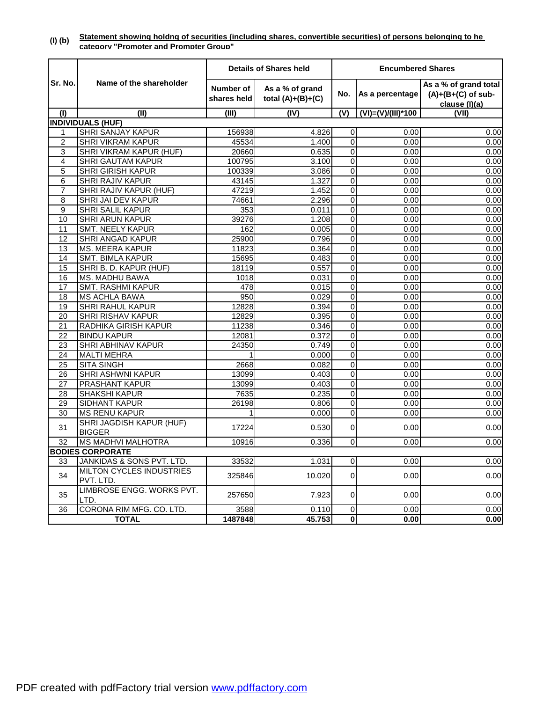|                 |                                           |                                 | <b>Details of Shares held</b>          | <b>Encumbered Shares</b> |                    |                                                                |  |
|-----------------|-------------------------------------------|---------------------------------|----------------------------------------|--------------------------|--------------------|----------------------------------------------------------------|--|
| Sr. No.         | Name of the shareholder                   | <b>Number of</b><br>shares held | As a % of grand<br>total $(A)+(B)+(C)$ | No.                      | As a percentage    | As a % of grand total<br>$(A)+(B+(C)$ of sub-<br>clause (I)(a) |  |
| (1)             | (II)                                      | (III)                           | (IV)                                   | (V)                      | (VI)=(V)/(III)*100 | (VII)                                                          |  |
|                 | <b>INDIVIDUALS (HUF)</b>                  |                                 |                                        |                          |                    |                                                                |  |
| 1               | SHRI SANJAY KAPUR                         | 156938                          | 4.826                                  | 0                        | 0.00               | 0.00                                                           |  |
| 2               | SHRI VIKRAM KAPUR                         | 45534                           | 1.400                                  | 0                        | 0.00               | 0.00                                                           |  |
| 3               | SHRI VIKRAM KAPUR (HUF)                   | 20660                           | 0.635                                  | 0                        | 0.00               | 0.00                                                           |  |
| 4               | <b>SHRI GAUTAM KAPUR</b>                  | 100795                          | 3.100                                  | $\mathbf 0$              | 0.00               | 0.00                                                           |  |
| 5               | <b>SHRI GIRISH KAPUR</b>                  | 100339                          | 3.086                                  | 0                        | 0.00               | 0.00                                                           |  |
| 6               | SHRI RAJIV KAPUR                          | 43145                           | 1.327                                  | 0                        | 0.00               | 0.00                                                           |  |
| $\overline{7}$  | SHRI RAJIV KAPUR (HUF)                    | 47219                           | 1.452                                  | $\overline{0}$           | 0.00               | 0.00                                                           |  |
| 8               | SHRI JAI DEV KAPUR                        | 74661                           | 2.296                                  | 0                        | 0.00               | 0.00                                                           |  |
| 9               | <b>SHRI SALIL KAPUR</b>                   | 353                             | 0.011                                  | $\mathbf 0$              | 0.00               | 0.00                                                           |  |
| 10              | <b>SHRI ARUN KAPUR</b>                    | 39276                           | 1.208                                  | $\mathbf 0$              | 0.00               | 0.00                                                           |  |
| 11              | <b>SMT. NEELY KAPUR</b>                   | 162                             | 0.005                                  | 0                        | 0.00               | 0.00                                                           |  |
| 12              | SHRI ANGAD KAPUR                          | 25900                           | 0.796                                  | 0                        | 0.00               | 0.00                                                           |  |
| 13              | <b>MS. MEERA KAPUR</b>                    | 11823                           | 0.364                                  | 0                        | 0.00               | 0.00                                                           |  |
| 14              | <b>SMT. BIMLA KAPUR</b>                   | 15695                           | 0.483                                  | $\overline{0}$           | 0.00               | 0.00                                                           |  |
| 15              | SHRI B. D. KAPUR (HUF)                    | 18119                           | 0.557                                  | $\mathbf 0$              | 0.00               | 0.00                                                           |  |
| 16              | MS. MADHU BAWA                            | 1018                            | 0.031                                  | 0                        | 0.00               | 0.00                                                           |  |
| 17              | <b>SMT. RASHMI KAPUR</b>                  | 478                             | 0.015                                  | 0                        | 0.00               | 0.00                                                           |  |
| 18              | <b>MS ACHLA BAWA</b>                      | 950                             | 0.029                                  | $\boldsymbol{0}$         | 0.00               | 0.00                                                           |  |
| 19              | SHRI RAHUL KAPUR                          | 12828                           | 0.394                                  | 0                        | 0.00               | 0.00                                                           |  |
| 20              | <b>SHRI RISHAV KAPUR</b>                  | 12829                           | 0.395                                  | 0                        | 0.00               | 0.00                                                           |  |
| $\overline{21}$ | RADHIKA GIRISH KAPUR                      | 11238                           | 0.346                                  | $\overline{0}$           | 0.00               | 0.00                                                           |  |
| $\overline{22}$ | <b>BINDU KAPUR</b>                        | 12081                           | 0.372                                  | 0                        | 0.00               | 0.00                                                           |  |
| 23              | SHRI ABHINAV KAPUR                        | 24350                           | 0.749                                  | 0                        | 0.00               | 0.00                                                           |  |
| 24              | <b>MALTI MEHRA</b>                        | 1                               | 0.000                                  | 0                        | 0.00               | 0.00                                                           |  |
| 25              | <b>SITA SINGH</b>                         | 2668                            | 0.082                                  | $\overline{0}$           | 0.00               | 0.00                                                           |  |
| 26              | <b>SHRI ASHWNI KAPUR</b>                  | 13099                           | 0.403                                  | 0                        | 0.00               | 0.00                                                           |  |
| 27              | PRASHANT KAPUR                            | 13099                           | 0.403                                  | 0                        | 0.00               | 0.00                                                           |  |
| 28              | SHAKSHI KAPUR                             | 7635                            | 0.235                                  | 0                        | 0.00               | 0.00                                                           |  |
| 29              | <b>SIDHANT KAPUR</b>                      | 26198                           | 0.806                                  | $\mathbf 0$              | 0.00               | 0.00                                                           |  |
| 30              | <b>MS RENU KAPUR</b>                      | 1                               | 0.000                                  | 0                        | 0.00               | 0.00                                                           |  |
| 31              | SHRI JAGDISH KAPUR (HUF)<br><b>BIGGER</b> | 17224                           | 0.530                                  | 0                        | 0.00               | 0.00                                                           |  |
| 32              | <b>MS MADHVI MALHOTRA</b>                 | 10916                           | 0.336                                  | 0                        | 0.00               | 0.00                                                           |  |
|                 | <b>BODIES CORPORATE</b>                   |                                 |                                        |                          |                    |                                                                |  |
| 33              | JANKIDAS & SONS PVT. LTD.                 | 33532                           | 1.031                                  | $\overline{0}$           | 0.00               | 0.00                                                           |  |
| 34              | MILTON CYCLES INDUSTRIES<br>PVT. LTD.     | 325846                          | 10.020                                 | $\overline{0}$           | 0.00               | 0.00                                                           |  |
| 35              | LIMBROSE ENGG. WORKS PVT.<br>LTD.         | 257650                          | 7.923                                  | 0                        | 0.00               | 0.00                                                           |  |
| 36              | CORONA RIM MFG. CO. LTD.                  | 3588                            | 0.110                                  | $\overline{0}$           | 0.00               | 0.00                                                           |  |
| <b>TOTAL</b>    |                                           | 1487848                         | 45.753                                 | $\overline{\mathbf{0}}$  | 0.00               | 0.00                                                           |  |

**(I) (b) Statement showing holdng of securities (including shares, convertible securities) of persons belonging to he category "Promoter and Prompter Group"**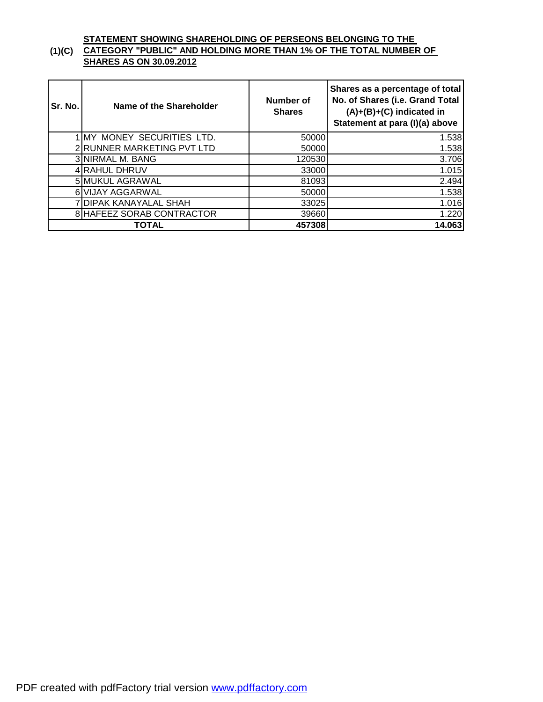#### **(1)(C) STATEMENT SHOWING SHAREHOLDING OF PERSEONS BELONGING TO THE CATEGORY "PUBLIC" AND HOLDING MORE THAN 1% OF THE TOTAL NUMBER OF SHARES AS ON 30.09.2012**

| Sr. No. | Name of the Shareholder    | Number of<br><b>Shares</b> | Shares as a percentage of total<br>No. of Shares (i.e. Grand Total<br>$(A)+(B)+(C)$ indicated in<br>Statement at para (I)(a) above |  |
|---------|----------------------------|----------------------------|------------------------------------------------------------------------------------------------------------------------------------|--|
|         | 1 MY MONEY SECURITIES LTD. | 50000                      | 1.538                                                                                                                              |  |
|         | 2 RUNNER MARKETING PVT LTD | 50000                      | 1.538                                                                                                                              |  |
|         | 3 NIRMAL M. BANG           | 120530                     | $\overline{3.706}$                                                                                                                 |  |
|         | 4 RAHUL DHRUV              | 33000                      | 1.015                                                                                                                              |  |
|         | 5 MUKUL AGRAWAL            | 81093                      | 2.494                                                                                                                              |  |
|         | 6 VIJAY AGGARWAL           | 50000                      | 1.538                                                                                                                              |  |
|         | 7 DIPAK KANAYALAL SHAH     | 33025                      | 1.016                                                                                                                              |  |
|         | 8 HAFEEZ SORAB CONTRACTOR  | 39660                      | 1.220                                                                                                                              |  |
|         | TOTAL                      | 457308                     | 14.063                                                                                                                             |  |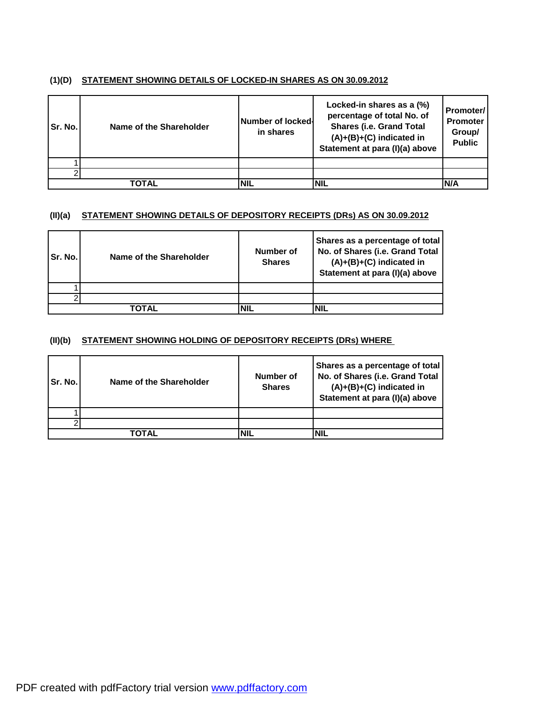### **(1)(D) STATEMENT SHOWING DETAILS OF LOCKED-IN SHARES AS ON 30.09.2012**

| Sr. No. | Name of the Shareholder | <b>Number of locked-</b><br>in shares | Locked-in shares as a (%)<br>percentage of total No. of<br><b>Shares (i.e. Grand Total</b><br>$(A)+(B)+(C)$ indicated in<br>Statement at para (I)(a) above | <b>Promoter/</b><br><b>Promoter</b><br>Group/<br><b>Public</b> |
|---------|-------------------------|---------------------------------------|------------------------------------------------------------------------------------------------------------------------------------------------------------|----------------------------------------------------------------|
|         |                         |                                       |                                                                                                                                                            |                                                                |
|         |                         |                                       |                                                                                                                                                            |                                                                |
|         | TOTAL                   | <b>NIL</b>                            | <b>NIL</b>                                                                                                                                                 | IN/A                                                           |

#### **(II)(a) STATEMENT SHOWING DETAILS OF DEPOSITORY RECEIPTS (DRs) AS ON 30.09.2012**

| <b>Sr. No.I</b> | Name of the Shareholder | Number of<br><b>Shares</b> | Shares as a percentage of total<br>No. of Shares (i.e. Grand Total<br>$(A)+(B)+(C)$ indicated in<br>Statement at para (I)(a) above |
|-----------------|-------------------------|----------------------------|------------------------------------------------------------------------------------------------------------------------------------|
|                 |                         |                            |                                                                                                                                    |
|                 |                         |                            |                                                                                                                                    |
|                 | ΤΟΤΑL                   |                            | NIL                                                                                                                                |

### **(II)(b) STATEMENT SHOWING HOLDING OF DEPOSITORY RECEIPTS (DRs) WHERE**

| Sr. No. | Name of the Shareholder | Number of<br><b>Shares</b> | Shares as a percentage of total<br>No. of Shares (i.e. Grand Total<br>$(A)+(B)+(C)$ indicated in<br>Statement at para (I)(a) above |
|---------|-------------------------|----------------------------|------------------------------------------------------------------------------------------------------------------------------------|
|         |                         |                            |                                                                                                                                    |
|         |                         |                            |                                                                                                                                    |
|         | ΤΟΤΑΙ                   | <b>NIL</b>                 |                                                                                                                                    |